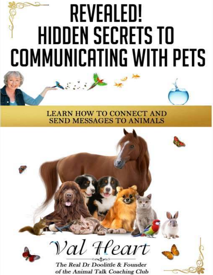# REVEALED! **HIDDEN SECRETS TO** COMMUNICATING WITH PETS

#### **LEARN HOW TO CONNECT AND SEND MESSAGES TO ANIMALS**



The Real Dr Doolittle & Founder of the Animal Talk Coaching Club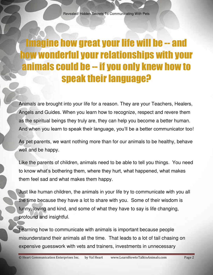### Imagine how great your life will be -- and how wonderful your relationships with your animals could be -- if you only knew how to speak their language?

Animals are brought into your life for a reason. They are your Teachers, Healers, Angels and Guides. When you learn how to recognize, respect and revere them as the spiritual beings they truly are, they can help you become a better human. And when you learn to speak their language, you'll be a better communicator too!

As pet parents, we want nothing more than for our animals to be healthy, behave well and be happy.

Like the parents of children, animals need to be able to tell you things. You need to know what's bothering them, where they hurt, what happened, what makes them feel sad and what makes them happy.

Just like human children, the animals in your life try to communicate with you all the time because they have a lot to share with you. Some of their wisdom is funny, loving and kind, and some of what they have to say is life changing, profound and insightful.

Learning how to communicate with animals is important because people misunderstand their animals all the time. That leads to a lot of tail chasing on expensive guesswork with vets and trainers, investments in unnecessary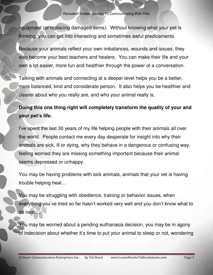equipment (or replacing damaged items). Without knowing what your pet is thinking, you can get into interesting and sometimes awful predicaments.

Because your animals reflect your own imbalances, wounds and issues, they also become your best teachers and healers. You can make their life and your own a lot easier, more fun and healthier through the power of a conversation.

Talking with animals and connecting at a deeper level helps you be a better, more balanced, kind and considerate person. It also helps you be healthier and clearer about who you really are, and who your animal really is.

#### **Doing this one thing right will completely transform the quality of your and your pet's life.**

I've spent the last 30 years of my life helping people with their animals all over the world. People contact me every day desperate for insight into why their animals are sick, ill or dying, why they behave in a dangerous or confusing way, feeling worried they are missing something important because their animal seems depressed or unhappy.

You may be having problems with sick animals, animals that your vet is having trouble helping heal…

You may be struggling with obedience, training or behavior issues, when everything you've tried so far hasn't worked very well and you don't know what to do next….

You may be worried about a pending euthanasia decision, you may be in agony of indecision about whether it's time to put your animal to sleep or not, wondering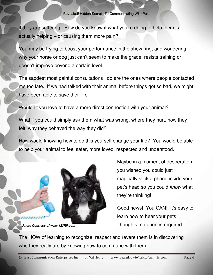if they are suffering. How do you know if what you're doing to help them is actually helping – or causing them more pain?

You may be trying to boost your performance in the show ring, and wondering why your horse or dog just can't seem to make the grade, resists training or doesn't improve beyond a certain level.

The saddest most painful consultations I do are the ones where people contacted me too late. If we had talked with their animal before things got so bad, we might have been able to save their life.

Wouldn't you love to have a more direct connection with your animal?

What if you could simply ask them what was wrong, where they hurt, how they felt, why they behaved the way they did?

How would knowing how to do this yourself change your life? You would be able to help your animal to feel safer, more loved, respected and understood.



*Photo Courtesy of www.123RF.com*

Maybe in a moment of desperation you wished you could just magically stick a phone inside your pet's head so you could *know* what they're thinking!

Good news! You CAN! It's easy to learn how to hear your pets thoughts, no phones required.

The HOW of learning to recognize, respect and revere them is in discovering who they really are by knowing how to commune with them.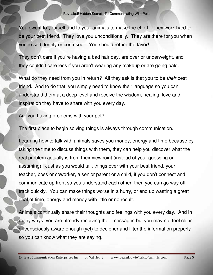You owe it to yourself and to your animals to make the effort. They work hard to be your best friend. They love you unconditionally. They are there for you when you're sad, lonely or confused. You should return the favor!

They don't care if you're having a bad hair day, are over or underweight, and they couldn't care less if you aren't wearing any makeup or are going bald.

What do they need from you in return? All they ask is that you to be *their* best friend. And to do that, you simply need to know their language so you can understand them at a deep level and receive the wisdom, healing, love and inspiration they have to share with you every day.

Are you having problems with your pet?

The first place to begin solving things is always through communication.

Learning how to talk with animals saves you money, energy and time because by taking the time to discuss things with them, they can help you discover what the real problem actually is from their viewpoint (instead of your guessing or assuming). Just as you would talk things over with your best friend, your teacher, boss or coworker, a senior parent or a child, if you don't connect and communicate up front so you understand each other, then you can go way off track quickly. You can make things worse in a hurry, or end up wasting a great deal of time, energy and money with little or no result.

Animals continually share their thoughts and feelings with you every day. And in many ways, you are already receiving their messages but you may not feel clear or consciously aware enough (yet) to decipher and filter the information properly so you can know what they are saying.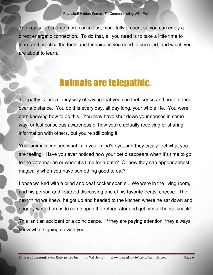Revealed! Hidden Secrets To Communicating With Pets

The key is to become more conscious, more fully present so you can enjoy a direct energetic connection. To do that, all you need is to take a little time to learn and practice the tools and techniques you need to succeed, and which you are about to learn.

#### Animals are telepathic.

Telepathy is just a fancy way of saying that you can feel, sense and hear others over a distance. You do this every day, all day long, your whole life. You were born knowing how to do this. You may have shut down your senses in some way, or lost conscious awareness of how you're actually receiving or sharing information with others, but you're still doing it.

Your animals can see what is in your mind's eye, and they easily feel what you are feeling. Have you ever noticed how your pet disappears when it's time to go to the veterinarian or when it's time for a bath? Or how they can appear almost magically when you have something good to eat?

I once worked with a blind and deaf cocker spaniel. We were in the living room, and his person and I started discussing one of his favorite treats, cheese. The next thing we knew, he got up and headed to the kitchen where he sat down and eagerly waited on us to come open the refrigerator and get him a cheese snack!

This isn't an accident or a coincidence. If they are paying attention, they always know what's going on with you.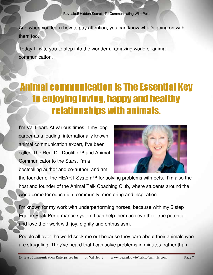And when you learn how to pay attention, you can know what's going on with them too.

Today I invite you to step into the wonderful amazing world of animal communication.

# Animal communication is The Essential Key to enjoying loving, happy and healthy relationships with animals.

I'm Val Heart. At various times in my long career as a leading, internationally known animal communication expert, I've been called The Real Dr. Doolittle™ and Animal Communicator to the Stars. I'm a bestselling author and co-author, and am



the founder of the HEART System™ for solving problems with pets. I'm also the host and founder of the Animal Talk Coaching Club, where students around the world come for education, community, mentoring and inspiration.

I'm known for my work with underperforming horses, because with my 5 step Equine Peak Performance system I can help them achieve their true potential and love their work with joy, dignity and enthusiasm.

People all over the world seek me out because they care about their animals who are struggling. They've heard that I can solve problems in minutes, rather than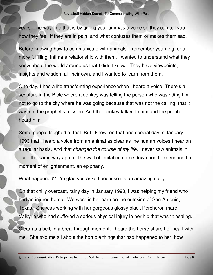years. The way I do that is by giving your animals a voice so they can tell you how they feel, if they are in pain, and what confuses them or makes them sad.

Before knowing how to communicate with animals, I remember yearning for a more fulfilling, intimate relationship with them. I wanted to understand what they knew about the world around us that I didn't know. They have viewpoints, insights and wisdom all their own, and I wanted to learn from them.

One day, I had a life transforming experience when I heard a voice. There's a scripture in the Bible where a donkey was telling the person who was riding him not to go to the city where he was going because that was not the calling; that it was not the prophet's mission. And the donkey talked to him and the prophet heard him.

Some people laughed at that. But I know, on that one special day in January 1993 that I heard a voice from an animal as clear as the human voices I hear on a regular basis. And that *changed the course of my life*. I never saw animals in quite the same way again. The wall of limitation came down and I experienced a moment of enlightenment, an epiphany.

What happened? I'm glad you asked because it's an amazing story.

On that chilly overcast, rainy day in January 1993, I was helping my friend who had an injured horse. We were in her barn on the outskirts of San Antonio, Texas. She was working with her gorgeous glossy black Percheron mare Valkyrie who had suffered a serious physical injury in her hip that wasn't healing.

Clear as a bell, in a breakthrough moment, I heard the horse share her heart with me. She told me all about the horrible things that had happened to her, how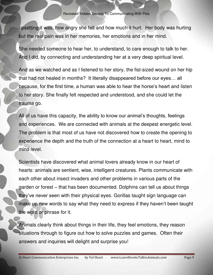upsetting it was, how angry she felt and how much it hurt. Her body was hurting but the real pain was in her memories, her emotions and in her mind.

She needed someone to hear her, to understand, to care enough to talk to her. And I did, by connecting and understanding her at a very deep spiritual level.

And as we watched and as I listened to her story, the fist-sized wound on her hip that had not healed in months? It literally disappeared before our eyes… all because, for the first time, a human was able to hear the horse's heart and listen to her story. She finally felt respected and understood, and she could let the trauma go.

All of us have this capacity, the ability to know our animal's thoughts, feelings and experiences. We are connected with animals at the deepest energetic level. The problem is that most of us have not discovered how to create the opening to experience the depth and the truth of the connection at a heart to heart, mind to mind level.

Scientists have discovered what animal lovers already know in our heart of hearts: animals are sentient, wise, intelligent creatures. Plants communicate with each other about insect invaders and other problems in various parts of the garden or forest – that has been documented. Dolphins can tell us about things they've never seen with their physical eyes. Gorillas taught sign language can make up new words to say what they need to express if they haven't been taught the word or phrase for it.

Animals clearly think about things in their life, they feel emotions, they reason situations through to figure out how to solve puzzles and games. Often their answers and inquiries will delight and surprise you!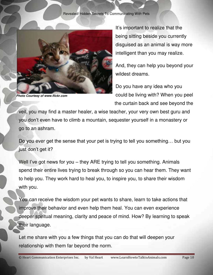

*Photo Courtesy of www.flickr.com*

It's important to realize that the being sitting beside you currently disguised as an animal is way more intelligent than you may realize.

And, they can help you beyond your wildest dreams.

Do you have any idea who you could be living with? When you peel the curtain back and see beyond the

veil, you may find a master healer, a wise teacher, your very own best guru and you don't even have to climb a mountain, sequester yourself in a monastery or go to an ashram.

Do you ever get the sense that your pet is trying to tell you something… but you just don't get it?

Well I've got news for you – they ARE trying to tell you something. Animals spend their entire lives trying to break through so you can hear them. They want to help you. They work hard to heal you, to inspire you, to share their wisdom with you.

You *can* receive the wisdom your pet wants to share, learn to take actions that improve their behavior and even help them heal. You can even experience deeper spiritual meaning, clarity and peace of mind. How? By learning to speak their language.

Let me share with you a few things that you can do that will deepen your relationship with them far beyond the norm.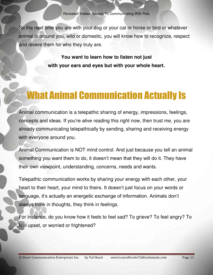So the next time you are with your dog or your cat or horse or bird or whatever animal is around you, wild or domestic, you will know how to recognize, respect and revere them for who they truly are.

> **You want to learn how to listen not just with your ears and eyes but with your whole heart.**

# What Animal Communication Actually Is

Animal communication is a telepathic sharing of energy, impressions, feelings, concepts and ideas. If you're alive reading this right now, then trust me, you are already communicating telepathically by sending, sharing and receiving energy with everyone around you.

Animal Communication is NOT mind control. And just because you tell an animal something you want them to do, it doesn't mean that they will do it. They have their own viewpoint, understanding, concerns, needs and wants.

Telepathic communication works by sharing your energy with each other, your heart to their heart, your mind to theirs. It doesn't just focus on your words or language, it's actually an energetic exchange of information. Animals don't always think in thoughts, they think in feelings.

For instance, do you know how it feels to feel sad? To grieve? To feel angry? To feel upset, or worried or frightened?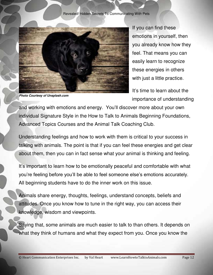

*Photo Courtesy of Unsplash.com*

If you can find these emotions in yourself, then you already know how they feel. That means you can easily learn to recognize these energies in others with just a little practice.

It's time to learn about the importance of understanding

and working with emotions and energy. You'll discover more about your own individual Signature Style in the How to Talk to Animals Beginning Foundations, Advanced Topics Courses and the Animal Talk Coaching Club.

Understanding feelings and how to work with them is critical to your success in talking with animals. The point is that if you can feel these energies and get clear about them, then you can in fact sense what your animal is thinking and feeling.

It's important to learn how to be emotionally peaceful and comfortable with what you're feeling before you'll be able to feel someone else's emotions accurately. All beginning students have to do the inner work on this issue.

Animals share energy, thoughts, feelings, understand concepts, beliefs and attitudes. Once you know how to tune in the right way, you can access their knowledge, wisdom and viewpoints.

Saying that, some animals are much easier to talk to than others. It depends on what they think of humans and what they expect from you. Once you know the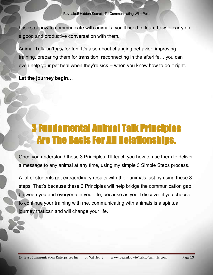basics of how to communicate with animals, you'll need to learn how to carry on a good and productive conversation with them.

Animal Talk isn't *just* for fun! It's also about changing behavior, improving training, preparing them for transition, reconnecting in the afterlife… you can even help your pet heal when they're sick -- when you know how to do it right.

**Let the journey begin…**

### 3 Fundamental Animal Talk Principles Are The Basis For All Relationships.

Once you understand these 3 Principles, I'll teach you how to use them to deliver a message to any animal at any time, using my simple 3 Simple Steps process.

A lot of students get extraordinary results with their animals just by using these 3 steps. That's because these 3 Principles will help bridge the communication gap between you and everyone in your life, because as you'll discover if you choose to continue your training with me, communicating with animals is a spiritual journey that can and will change your life.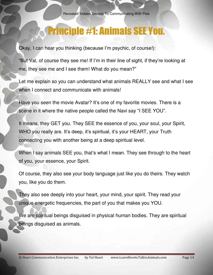#### Principle #1: Animals SEE You.

Okay, I can hear you thinking (because I'm psychic, of course!):

"But Val, of course they see me! If I'm in their line of sight, if they're looking at me, they see me and I see them! What do you mean?"

Let me explain so you can understand what animals REALLY see and what I see when I connect and communicate with animals!

Have you seen the movie Avatar? It's one of my favorite movies. There is a scene in it where the native people called the Navi say "I SEE YOU".

It means, they GET you. They SEE the essence of you, your soul, your Spirit, WHO you really are. It's deep, it's spiritual, it's your HEART, your Truth connecting you with another being at a deep spiritual level.

When I say animals SEE you, that's what I mean. They see through to the heart of you, your essence, your Spirit.

Of course, they also see your body language just like you do theirs. They watch you, like you do them.

They also see deeply into your heart, your mind, your spirit. They read your unique energetic frequencies, the part of you that makes you YOU.

We are spiritual beings disguised in physical human bodies. They are spiritual beings disguised as animals.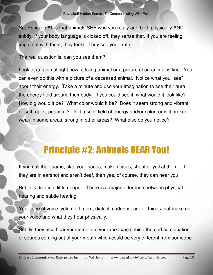So, Principle #1 is that animals SEE who you really are, both physically AND subtly. If your body language is closed off, they sense that. If you are feeling impatient with them, they feel it. They see your truth.

The real question is, can you see them?

Look at an animal right now, a living animal or a picture of an animal is fine. You can even do this with a picture of a deceased animal. Notice what you "see" about their energy. Take a minute and use your imagination to see their aura, the energy field around their body. If you could see it, what would it look like? How big would it be? What color would it be? Does it seem strong and vibrant or soft, quiet, peaceful? Is it a solid field of energy and/or color, or is it broken, weak in some areas, strong in other areas? What else do you notice?

#### Principle #2: Animals HEAR You!

If you call their name, clap your hands, make noises, shout or yell at them… I if they are in earshot and aren't deaf, then yes, of course, they can hear you!

But let's dive in a little deeper. There is a major difference between physical hearing and subtle hearing.

Your tone of voice, volume, timbre, dialect, cadence, are all things that make up your voice and what they hear physically.

Subtly, they also hear your intention, your *meaning* behind the odd combination of sounds coming out of your mouth which could be very different from someone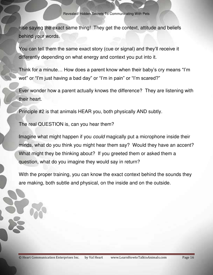else saying the exact same thing! They get the context, attitude and beliefs behind your words.

You can tell them the same exact story (cue or signal) and they'll receive it differently depending on what energy and context you put into it.

Think for a minute… How does a parent know when their baby's cry means "I'm wet" or "I'm just having a bad day" or "I'm in pain" or "I'm scared?"

Ever wonder how a parent actually knows the difference? They are listening with their heart.

Principle #2 is that animals HEAR you, both physically AND subtly.

The real QUESTION is, can you hear them?

Imagine what might happen if you *could* magically put a microphone inside their minds, what do you think you might hear them say? Would they have an accent? What might they be thinking about? If you greeted them or asked them a question, what do you imagine they would say in return?

With the proper training, you can know the exact context behind the sounds they are making, both subtle and physical, on the inside and on the outside.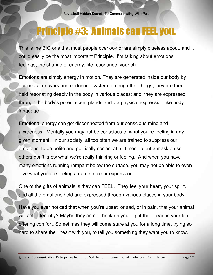#### Principle #3: Animals can FEEL you.

This is the BIG one that most people overlook or are simply clueless about, and it could easily be the most important Principle. I'm talking about emotions, feelings, the sharing of energy, life resonance, your chi.

Emotions are simply energy in motion. They are generated inside our body by our neural network and endocrine system, among other things; they are then held resonating deeply in the body in various places; and, they are expressed through the body's pores, scent glands and via physical expression like body language.

Emotional energy can get disconnected from our conscious mind and awareness. Mentally you may not be conscious of what you're feeling in any given moment. In our society, all too often we are trained to suppress our emotions, to be polite and politically correct at all times, to put a mask on so others don't know what we're really thinking or feeling. And when you have many emotions running rampant below the surface, you may not be able to even give what you are feeling a name or clear expression.

One of the gifts of animals is they can FEEL. They feel your heart, your spirit, and all the emotions held and expressed through various places in your body.

Have you ever noticed that when you're upset, or sad, or in pain, that your animal will act differently? Maybe they come check on you… put their head in your lap offering comfort. Sometimes they will come stare at you for a long time, trying so hard to share their heart with you, to tell you something they want you to know.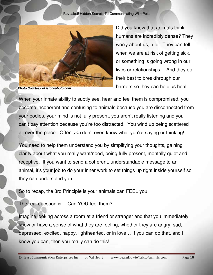Revealed! Hidden Secrets To Communicating With Pets



*Photo Courtesy of istockphoto.com*

Did you know that animals think humans are incredibly dense? They worry about us, a lot. They can tell when we are at risk of getting sick, or something is going wrong in our lives or relationships… And they do their best to breakthrough our barriers so they can help us heal.

When your innate ability to subtly see, hear and feel them is compromised, you become incoherent and confusing to animals because you are disconnected from your bodies, your mind is not fully present, you aren't really listening and you can't pay attention because you're too distracted. You wind up being scattered all over the place. Often *you* don't even know what you're saying or thinking!

You need to help them understand you by simplifying your thoughts, gaining clarity about what you really want/need, being fully present, mentally quiet and receptive. If you want to send a coherent, understandable message to an animal, it's your job to do your inner work to set things up right inside yourself so they can understand you.

So to recap, the 3rd Principle is your animals can FEEL you.

The real question is… Can YOU feel them?

Imagine looking across a room at a friend or stranger and that you immediately know or have a sense of what they are feeling, whether they are angry, sad, depressed, excited, happy, lighthearted, or in love… If you can do that, and I know you can, then you really can do this!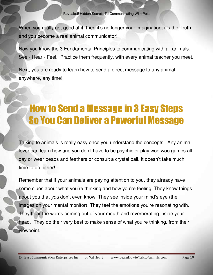When you really get good at it, then it's no longer your imagination, it's the Truth and you become a real animal communicator!

Now you know the 3 Fundamental Principles to communicating with all animals: See - Hear - Feel. Practice them frequently, with every animal teacher you meet.

Next, you are ready to learn how to send a direct message to any animal, anywhere, any time!

# How to Send a Message in 3 Easy Steps So You Can Deliver a Powerful Message

Talking to animals is really easy once you understand the concepts. Any animal lover can learn how and you don't have to be psychic or play woo woo games all day or wear beads and feathers or consult a crystal ball. It doesn't take much time to do either!

Remember that if your animals are paying attention to you, they already have some clues about what you're thinking and how you're feeling. They know things about you that *you* don't even know! They see inside your mind's eye (the images on your mental monitor). They feel the emotions you're resonating with. They hear the words coming out of your mouth and reverberating inside your head. They do their very best to make sense of what you're thinking, from their viewpoint.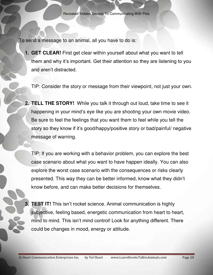To send a message to an animal, all you have to do is:

**1. GET CLEAR!** First get clear within yourself about what you want to tell them and why it's important. Get their attention so they are listening to you and aren't distracted.

TIP: Consider the story or message from their viewpoint, not just your own.

**2. TELL THE STORY!** While you talk it through out loud, take time to see it happening in your mind's eye like you are shooting your own movie video. Be sure to feel the feelings that you want them to feel while you tell the story so they know if it's good/happy/positive story or bad/painful/ negative message of warning.

TIP: If you are working with a behavior problem, you can explore the best case scenario about what you want to have happen ideally. You can also explore the worst case scenario with the consequences or risks clearly presented. This way they can be better informed, know what they didn't know before, and can make better decisions for themselves.

**3. TEST IT!** This isn't rocket science. Animal communication is highly subjective, feeling based, energetic communication from heart to heart, mind to mind. This isn't mind control! Look for anything different. There could be changes in mood, energy or attitude.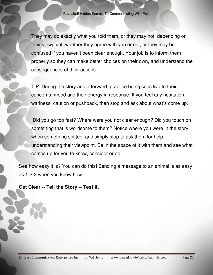They may do exactly what you told them, or they may not, depending on their viewpoint, whether they agree with you or not, or they may be confused if you haven't been clear enough. Your job is to inform them properly so they can make better choices on their own, and understand the consequences of their actions.

TIP: During the story and afterward, practice being sensitive to their concerns, mood and their energy in response. If you feel any hesitation, wariness, caution or pushback, then stop and ask about what's come up.

 Did you go too fast? Where were you not clear enough? Did you touch on something that is worrisome to them? Notice where you were in the story when something shifted, and simply stop to ask them for help understanding their viewpoint. Be in the space of it with them and see what comes up for you to know, consider or do.

See how easy it is? You can do this! Sending a message to an animal is as easy as 1-2-3 when you know how.

**Get Clear -- Tell the Story -- Test It.**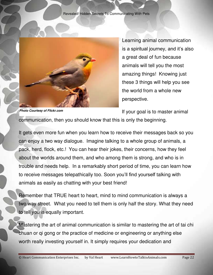

Learning animal communication is a spiritual journey, and it's also a great deal of fun because animals will tell you the most amazing things! Knowing just these 3 things will help you see the world from a whole new perspective.

*Photo Courtesy of Flickr.com*

If your goal is to master animal communication, then you should know that this is only the beginning.

It gets even more fun when you learn how to receive their messages back so you can enjoy a two way dialogue. Imagine talking to a whole group of animals, a pack, herd, flock, etc.! You can hear their jokes, their concerns, how they feel about the worlds around them, and who among them is strong, and who is in trouble and needs help. In a remarkably short period of time, you can learn how to receive messages telepathically too. Soon you'll find yourself talking with animals as easily as chatting with your best friend!

Remember that TRUE heart to heart, mind to mind communication is always a two way street. What you need to tell them is only half the story. What they need to tell you is equally important.

Mastering the art of animal communication is similar to mastering the art of tai chi chuan or qi gong or the practice of medicine or engineering or anything else worth really investing yourself in. It simply requires your dedication and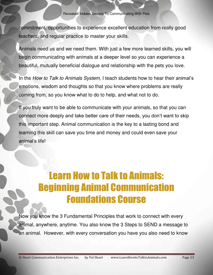commitment, opportunities to experience excellent education from really good teachers, and regular practice to master your skills.

Animals need us and we need them. With just a few more learned skills, you will begin communicating with animals at a deeper level so you can experience a beautiful, mutually beneficial dialogue and relationship with the pets you love.

In the *How to Talk to Animals System*, I teach students how to hear their animal's emotions, wisdom and thoughts so that you know where problems are really coming from, so you know what to do to help, and what not to do.

If you truly want to be able to communicate with your animals, so that you can connect more deeply and take better care of their needs, you don't want to skip this important step. Animal communication is the key to a lasting bond and learning this skill can save you time and money and could even save your animal's life!

### Learn How to Talk to Animals: Beginning Animal Communication Foundations Course

Now you know the 3 Fundamental Principles that work to connect with every animal, anywhere, anytime. You also know the 3 Steps to SEND a message to an animal. However, with every conversation you have you also need to know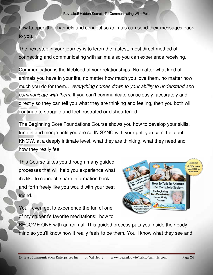how to open the channels and connect so animals can send their messages back to you.

The next step in your journey is to learn the fastest, most direct method of connecting and communicating with animals so you can experience receiving.

Communication is the lifeblood of your relationships. No matter what kind of animals you have in your life, no matter how much you love them, no matter how much you do for them… *everything comes down to your ability to understand and communicate with them*. If you can't communicate consciously, accurately and directly so they can tell you what they are thinking and feeling, then you both will continue to struggle and feel frustrated or disheartened.

The Beginning Core Foundations Course shows you how to develop your skills, tune in and merge until you are so IN SYNC with your pet, you can't help but KNOW, at a deeply intimate level, what they are thinking, what they need and how they really feel.

This Course takes you through many guided processes that will help you experience what it's like to connect, share information back and forth freely like you would with your best friend.

You'll even get to experience the fun of one of my student's favorite meditations: how to



BECOME ONE with an animal. This guided process puts you inside their body mind so you'll know how it really feels to be them. You'll know what they see and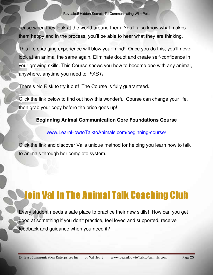sense when they look at the world around them. You'll also know what makes them happy and in the process, you'll be able to hear what they are thinking.

This life changing experience will blow your mind! Once you do this, you'll never look at an animal the same again. Eliminate doubt and create self-confidence in your growing skills. This Course shows you how to become one with any animal, anywhere, anytime you need to. *FAST!*

There's No Risk to try it out! The Course is fully guaranteed.

Click the link below to find out how this wonderful Course can change your life, then grab your copy before the price goes up!

**Beginning Animal Communication Core Foundations Course** 

[www.LearnHowtoTalktoAnimals.com/beginning-course/](http://www.learnhowtotalktoanimals.com/beginning-course/)

Click the link and discover Val's unique method for helping you learn how to talk to animals through her complete system.

## Join Val In The Animal Talk Coaching Club

Every student needs a safe place to practice their new skills! How can you get good at something if you don't practice, feel loved and supported, receive feedback and guidance when you need it?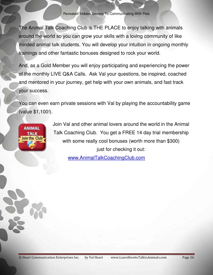The Animal Talk Coaching Club is THE PLACE to enjoy talking with animals around the world so you can grow your skills with a loving community of like minded animal talk students. You will develop your intuition in ongoing monthly trainings and other fantastic bonuses designed to rock your world.

And, as a Gold Member you will enjoy participating and experiencing the power of the monthly LIVE Q&A Calls. Ask Val your questions, be inspired, coached and mentored in your journey, get help with your own animals, and fast track your success.

You can even earn private sessions with Val by playing the accountability game (value \$1,100!).

**ANIMAL** TALK Join the Club Join Val and other animal lovers around the world in the Animal Talk Coaching Club. You get a FREE 14 day trial membership with some really cool bonuses (worth more than \$300) just for checking it out:

[www.AnimalTalkCoachingClub.com](https://ampros18.infusionsoft.com/app/linkClick/22508/66f5d17eae1cfc98/1909826/58caa58e88824987)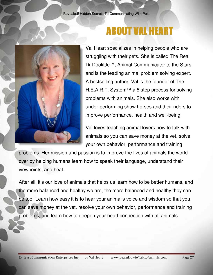

## ABOUT VAL HEART

Val Heart specializes in helping people who are struggling with their pets. She is called The Real Dr Doolittle™, Animal Communicator to the Stars and is the leading animal problem solving expert. A bestselling author, Val is the founder of The H.E.A.R.T. System™ a 5 step process for solving problems with animals. She also works with under-performing show horses and their riders to improve performance, health and well-being.

Val loves teaching animal lovers how to talk with animals so you can save money at the vet, solve your own behavior, performance and training

problems. Her mission and passion is to improve the lives of animals the world over by helping humans learn how to speak their language, understand their viewpoints, and heal.

After all, it's our love of animals that helps us learn how to be better humans, and the more balanced and healthy we are, the more balanced and healthy they can be too. Learn how easy it is to hear your animal's voice and wisdom so that you can save money at the vet, resolve your own behavior, performance and training problems, and learn how to deepen your heart connection with all animals.